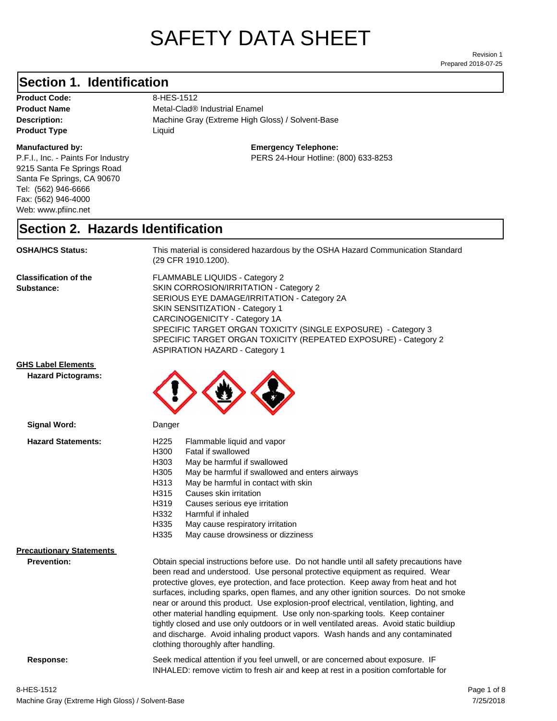# SAFETY DATA SHEET

Prepared 2018-07-25 Revision 1

### **Section 1. Identification**

Product Code: 8-HES-1512 **Product Type Liquid Liquid** 

#### **Manufactured by:**

P.F.I., Inc. - Paints For Industry 9215 Santa Fe Springs Road Santa Fe Springs, CA 90670 Tel: (562) 946-6666 Fax: (562) 946-4000 Web: www.pfiinc.net

**Description:** Machine Gray (Extreme High Gloss) / Solvent-Base **Product Name** Metal-Clad<sup>®</sup> Industrial Enamel

#### **Emergency Telephone:**

PERS 24-Hour Hotline: (800) 633-8253

#### **Section 2. Hazards Identification**

**OSHA/HCS Status:** This material is considered hazardous by the OSHA Hazard Communication Standard (29 CFR 1910.1200).

**Classification of the Substance:**

FLAMMABLE LIQUIDS - Category 2 SKIN CORROSION/IRRITATION - Category 2 SERIOUS EYE DAMAGE/IRRITATION - Category 2A SKIN SENSITIZATION - Category 1 CARCINOGENICITY - Category 1A SPECIFIC TARGET ORGAN TOXICITY (SINGLE EXPOSURE) - Category 3 SPECIFIC TARGET ORGAN TOXICITY (REPEATED EXPOSURE) - Category 2 ASPIRATION HAZARD - Category 1

#### **GHS Label Elements**

**Signal Word:**

**Hazard Pictograms:**



| <b>Hazard Statements:</b>       | H <sub>225</sub><br>Flammable liquid and vapor<br>H300<br>Fatal if swallowed<br>H303<br>May be harmful if swallowed<br>H305<br>May be harmful if swallowed and enters airways<br>H313<br>May be harmful in contact with skin<br>H315<br>Causes skin irritation<br>H319<br>Causes serious eye irritation<br>Harmful if inhaled<br>H332                                                                                                                                                                                                                                                                                                                                                                                                                    |
|---------------------------------|----------------------------------------------------------------------------------------------------------------------------------------------------------------------------------------------------------------------------------------------------------------------------------------------------------------------------------------------------------------------------------------------------------------------------------------------------------------------------------------------------------------------------------------------------------------------------------------------------------------------------------------------------------------------------------------------------------------------------------------------------------|
|                                 | H335<br>May cause respiratory irritation                                                                                                                                                                                                                                                                                                                                                                                                                                                                                                                                                                                                                                                                                                                 |
|                                 | H335<br>May cause drowsiness or dizziness                                                                                                                                                                                                                                                                                                                                                                                                                                                                                                                                                                                                                                                                                                                |
| <b>Precautionary Statements</b> |                                                                                                                                                                                                                                                                                                                                                                                                                                                                                                                                                                                                                                                                                                                                                          |
| Prevention:                     | Obtain special instructions before use. Do not handle until all safety precautions have<br>been read and understood. Use personal protective equipment as required. Wear<br>protective gloves, eye protection, and face protection. Keep away from heat and hot<br>surfaces, including sparks, open flames, and any other ignition sources. Do not smoke<br>near or around this product. Use explosion-proof electrical, ventilation, lighting, and<br>other material handling equipment. Use only non-sparking tools. Keep container<br>tightly closed and use only outdoors or in well ventilated areas. Avoid static buildiup<br>and discharge. Avoid inhaling product vapors. Wash hands and any contaminated<br>clothing thoroughly after handling. |
| Response:                       | Seek medical attention if you feel unwell, or are concerned about exposure. IF<br>INHALED: remove victim to fresh air and keep at rest in a position comfortable for                                                                                                                                                                                                                                                                                                                                                                                                                                                                                                                                                                                     |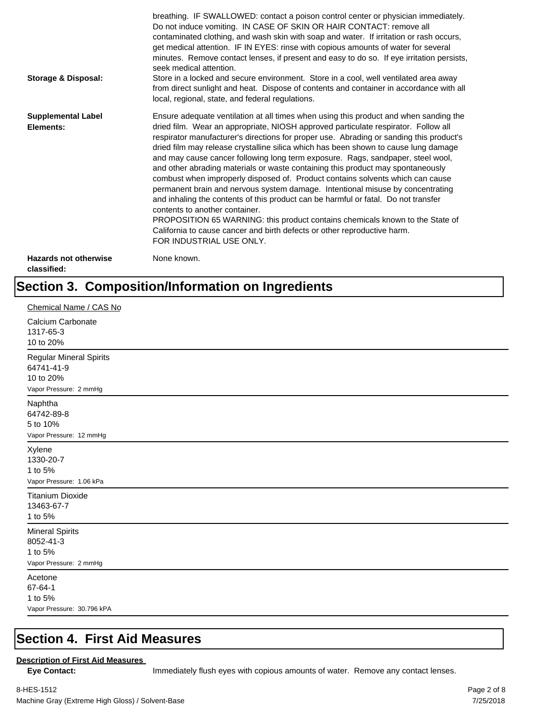| <b>Storage &amp; Disposal:</b>              | breathing. IF SWALLOWED: contact a poison control center or physician immediately.<br>Do not induce vomiting. IN CASE OF SKIN OR HAIR CONTACT: remove all<br>contaminated clothing, and wash skin with soap and water. If irritation or rash occurs,<br>get medical attention. IF IN EYES: rinse with copious amounts of water for several<br>minutes. Remove contact lenses, if present and easy to do so. If eye irritation persists,<br>seek medical attention.<br>Store in a locked and secure environment. Store in a cool, well ventilated area away<br>from direct sunlight and heat. Dispose of contents and container in accordance with all<br>local, regional, state, and federal regulations.                                                                                                                                                                                                                                                                                                                |
|---------------------------------------------|--------------------------------------------------------------------------------------------------------------------------------------------------------------------------------------------------------------------------------------------------------------------------------------------------------------------------------------------------------------------------------------------------------------------------------------------------------------------------------------------------------------------------------------------------------------------------------------------------------------------------------------------------------------------------------------------------------------------------------------------------------------------------------------------------------------------------------------------------------------------------------------------------------------------------------------------------------------------------------------------------------------------------|
| <b>Supplemental Label</b><br>Elements:      | Ensure adequate ventilation at all times when using this product and when sanding the<br>dried film. Wear an appropriate, NIOSH approved particulate respirator. Follow all<br>respirator manufacturer's directions for proper use. Abrading or sanding this product's<br>dried film may release crystalline silica which has been shown to cause lung damage<br>and may cause cancer following long term exposure. Rags, sandpaper, steel wool,<br>and other abrading materials or waste containing this product may spontaneously<br>combust when improperly disposed of. Product contains solvents which can cause<br>permanent brain and nervous system damage. Intentional misuse by concentrating<br>and inhaling the contents of this product can be harmful or fatal. Do not transfer<br>contents to another container.<br>PROPOSITION 65 WARNING: this product contains chemicals known to the State of<br>California to cause cancer and birth defects or other reproductive harm.<br>FOR INDUSTRIAL USE ONLY. |
| <b>Hazards not otherwise</b><br>classified: | None known.                                                                                                                                                                                                                                                                                                                                                                                                                                                                                                                                                                                                                                                                                                                                                                                                                                                                                                                                                                                                              |

## **Section 3. Composition/Information on Ingredients**

| Chemical Name / CAS No                                                              |
|-------------------------------------------------------------------------------------|
| Calcium Carbonate<br>1317-65-3<br>10 to 20%                                         |
| <b>Regular Mineral Spirits</b><br>64741-41-9<br>10 to 20%<br>Vapor Pressure: 2 mmHg |
| Naphtha<br>64742-89-8<br>5 to 10%<br>Vapor Pressure: 12 mmHg                        |
| Xylene<br>1330-20-7<br>1 to 5%<br>Vapor Pressure: 1.06 kPa                          |
| <b>Titanium Dioxide</b><br>13463-67-7<br>1 to 5%                                    |
| <b>Mineral Spirits</b><br>8052-41-3<br>1 to 5%<br>Vapor Pressure: 2 mmHg            |
| Acetone<br>67-64-1<br>1 to 5%<br>Vapor Pressure: 30.796 kPA                         |

#### **Section 4. First Aid Measures**

#### **Description of First Aid Measures**

Eye Contact: **IMMED** Immediately flush eyes with copious amounts of water. Remove any contact lenses.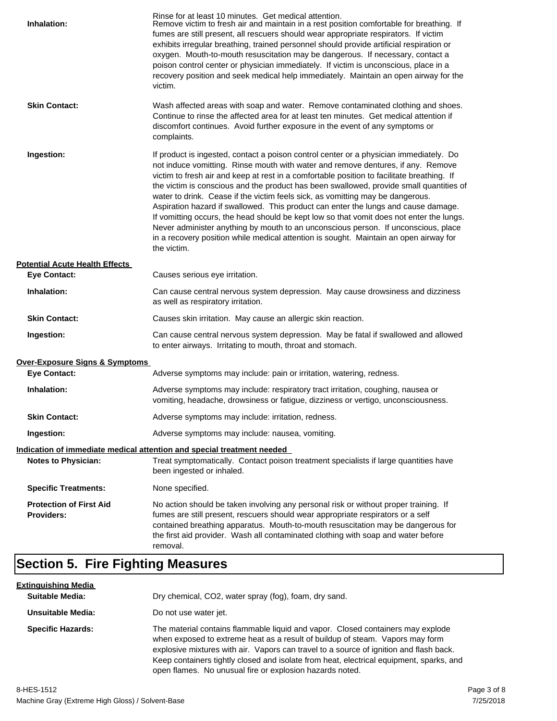| Inhalation:                                         | Rinse for at least 10 minutes. Get medical attention.<br>Remove victim to fresh air and maintain in a rest position comfortable for breathing. If<br>fumes are still present, all rescuers should wear appropriate respirators. If victim<br>exhibits irregular breathing, trained personnel should provide artificial respiration or<br>oxygen. Mouth-to-mouth resuscitation may be dangerous. If necessary, contact a<br>poison control center or physician immediately. If victim is unconscious, place in a<br>recovery position and seek medical help immediately. Maintain an open airway for the<br>victim.                                                                                                                                                                                                                    |
|-----------------------------------------------------|---------------------------------------------------------------------------------------------------------------------------------------------------------------------------------------------------------------------------------------------------------------------------------------------------------------------------------------------------------------------------------------------------------------------------------------------------------------------------------------------------------------------------------------------------------------------------------------------------------------------------------------------------------------------------------------------------------------------------------------------------------------------------------------------------------------------------------------|
| <b>Skin Contact:</b>                                | Wash affected areas with soap and water. Remove contaminated clothing and shoes.<br>Continue to rinse the affected area for at least ten minutes. Get medical attention if<br>discomfort continues. Avoid further exposure in the event of any symptoms or<br>complaints.                                                                                                                                                                                                                                                                                                                                                                                                                                                                                                                                                             |
| Ingestion:                                          | If product is ingested, contact a poison control center or a physician immediately. Do<br>not induce vomitting. Rinse mouth with water and remove dentures, if any. Remove<br>victim to fresh air and keep at rest in a comfortable position to facilitate breathing. If<br>the victim is conscious and the product has been swallowed, provide small quantities of<br>water to drink. Cease if the victim feels sick, as vomitting may be dangerous.<br>Aspiration hazard if swallowed. This product can enter the lungs and cause damage.<br>If vomitting occurs, the head should be kept low so that vomit does not enter the lungs.<br>Never administer anything by mouth to an unconscious person. If unconscious, place<br>in a recovery position while medical attention is sought. Maintain an open airway for<br>the victim. |
| <b>Potential Acute Health Effects</b>               |                                                                                                                                                                                                                                                                                                                                                                                                                                                                                                                                                                                                                                                                                                                                                                                                                                       |
| <b>Eye Contact:</b>                                 | Causes serious eye irritation.                                                                                                                                                                                                                                                                                                                                                                                                                                                                                                                                                                                                                                                                                                                                                                                                        |
| Inhalation:                                         | Can cause central nervous system depression. May cause drowsiness and dizziness<br>as well as respiratory irritation.                                                                                                                                                                                                                                                                                                                                                                                                                                                                                                                                                                                                                                                                                                                 |
| <b>Skin Contact:</b>                                | Causes skin irritation. May cause an allergic skin reaction.                                                                                                                                                                                                                                                                                                                                                                                                                                                                                                                                                                                                                                                                                                                                                                          |
| Ingestion:                                          | Can cause central nervous system depression. May be fatal if swallowed and allowed<br>to enter airways. Irritating to mouth, throat and stomach.                                                                                                                                                                                                                                                                                                                                                                                                                                                                                                                                                                                                                                                                                      |
| <b>Over-Exposure Signs &amp; Symptoms</b>           |                                                                                                                                                                                                                                                                                                                                                                                                                                                                                                                                                                                                                                                                                                                                                                                                                                       |
| <b>Eye Contact:</b>                                 | Adverse symptoms may include: pain or irritation, watering, redness.                                                                                                                                                                                                                                                                                                                                                                                                                                                                                                                                                                                                                                                                                                                                                                  |
| Inhalation:                                         | Adverse symptoms may include: respiratory tract irritation, coughing, nausea or<br>vomiting, headache, drowsiness or fatigue, dizziness or vertigo, unconsciousness.                                                                                                                                                                                                                                                                                                                                                                                                                                                                                                                                                                                                                                                                  |
| <b>Skin Contact:</b>                                | Adverse symptoms may include: irritation, redness.                                                                                                                                                                                                                                                                                                                                                                                                                                                                                                                                                                                                                                                                                                                                                                                    |
| Ingestion:                                          | Adverse symptoms may include: nausea, vomiting.                                                                                                                                                                                                                                                                                                                                                                                                                                                                                                                                                                                                                                                                                                                                                                                       |
|                                                     | Indication of immediate medical attention and special treatment needed                                                                                                                                                                                                                                                                                                                                                                                                                                                                                                                                                                                                                                                                                                                                                                |
| <b>Notes to Physician:</b>                          | Treat symptomatically. Contact poison treatment specialists if large quantities have<br>been ingested or inhaled.                                                                                                                                                                                                                                                                                                                                                                                                                                                                                                                                                                                                                                                                                                                     |
| <b>Specific Treatments:</b>                         | None specified.                                                                                                                                                                                                                                                                                                                                                                                                                                                                                                                                                                                                                                                                                                                                                                                                                       |
| <b>Protection of First Aid</b><br><b>Providers:</b> | No action should be taken involving any personal risk or without proper training. If<br>fumes are still present, rescuers should wear appropriate respirators or a self<br>contained breathing apparatus. Mouth-to-mouth resuscitation may be dangerous for<br>the first aid provider. Wash all contaminated clothing with soap and water before<br>removal.                                                                                                                                                                                                                                                                                                                                                                                                                                                                          |

## **Section 5. Fire Fighting Measures**

| <u>Extinquishing Media</u> |                                                                                                                                                                                                                                                                                                                                                                                                                   |
|----------------------------|-------------------------------------------------------------------------------------------------------------------------------------------------------------------------------------------------------------------------------------------------------------------------------------------------------------------------------------------------------------------------------------------------------------------|
| <b>Suitable Media:</b>     | Dry chemical, CO2, water spray (fog), foam, dry sand.                                                                                                                                                                                                                                                                                                                                                             |
| Unsuitable Media:          | Do not use water jet.                                                                                                                                                                                                                                                                                                                                                                                             |
| <b>Specific Hazards:</b>   | The material contains flammable liquid and vapor. Closed containers may explode<br>when exposed to extreme heat as a result of buildup of steam. Vapors may form<br>explosive mixtures with air. Vapors can travel to a source of ignition and flash back.<br>Keep containers tightly closed and isolate from heat, electrical equipment, sparks, and<br>open flames. No unusual fire or explosion hazards noted. |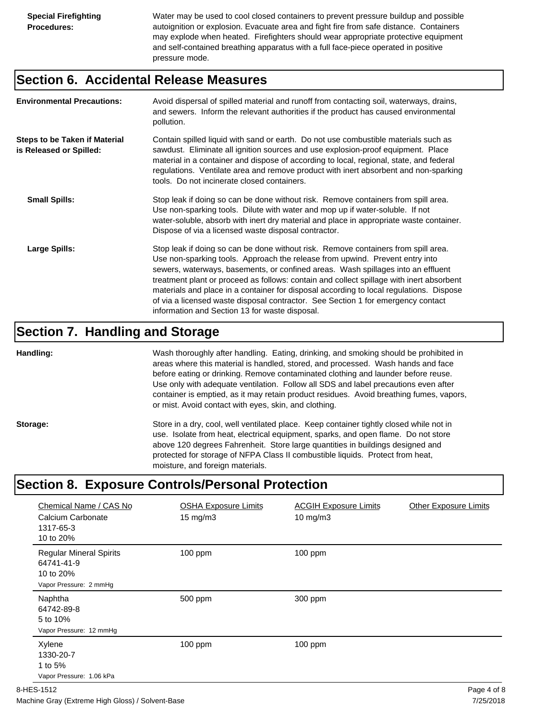Water may be used to cool closed containers to prevent pressure buildup and possible autoignition or explosion. Evacuate area and fight fire from safe distance. Containers may explode when heated. Firefighters should wear appropriate protective equipment and self-contained breathing apparatus with a full face-piece operated in positive pressure mode.

#### **Section 6. Accidental Release Measures**

| <b>Environmental Precautions:</b>                               | Avoid dispersal of spilled material and runoff from contacting soil, waterways, drains,<br>and sewers. Inform the relevant authorities if the product has caused environmental<br>pollution.                                                                                                                                                                                                                                                                                                                                                                                        |
|-----------------------------------------------------------------|-------------------------------------------------------------------------------------------------------------------------------------------------------------------------------------------------------------------------------------------------------------------------------------------------------------------------------------------------------------------------------------------------------------------------------------------------------------------------------------------------------------------------------------------------------------------------------------|
| <b>Steps to be Taken if Material</b><br>is Released or Spilled: | Contain spilled liquid with sand or earth. Do not use combustible materials such as<br>sawdust. Eliminate all ignition sources and use explosion-proof equipment. Place<br>material in a container and dispose of according to local, regional, state, and federal<br>regulations. Ventilate area and remove product with inert absorbent and non-sparking<br>tools. Do not incinerate closed containers.                                                                                                                                                                           |
| <b>Small Spills:</b>                                            | Stop leak if doing so can be done without risk. Remove containers from spill area.<br>Use non-sparking tools. Dilute with water and mop up if water-soluble. If not<br>water-soluble, absorb with inert dry material and place in appropriate waste container.<br>Dispose of via a licensed waste disposal contractor.                                                                                                                                                                                                                                                              |
| Large Spills:                                                   | Stop leak if doing so can be done without risk. Remove containers from spill area.<br>Use non-sparking tools. Approach the release from upwind. Prevent entry into<br>sewers, waterways, basements, or confined areas. Wash spillages into an effluent<br>treatment plant or proceed as follows: contain and collect spillage with inert absorbent<br>materials and place in a container for disposal according to local regulations. Dispose<br>of via a licensed waste disposal contractor. See Section 1 for emergency contact<br>information and Section 13 for waste disposal. |

#### **Section 7. Handling and Storage**

**Handling:** Wash thoroughly after handling. Eating, drinking, and smoking should be prohibited in areas where this material is handled, stored, and processed. Wash hands and face before eating or drinking. Remove contaminated clothing and launder before reuse. Use only with adequate ventilation. Follow all SDS and label precautions even after container is emptied, as it may retain product residues. Avoid breathing fumes, vapors, or mist. Avoid contact with eyes, skin, and clothing.

Storage: Store in a dry, cool, well ventilated place. Keep container tightly closed while not in use. Isolate from heat, electrical equipment, sparks, and open flame. Do not store above 120 degrees Fahrenheit. Store large quantities in buildings designed and protected for storage of NFPA Class II combustible liquids. Protect from heat, moisture, and foreign materials.

## **Section 8. Exposure Controls/Personal Protection**

| Chemical Name / CAS No<br>Calcium Carbonate<br>1317-65-3<br>10 to 20%               | <b>OSHA Exposure Limits</b><br>$15 \text{ mg/m}$ | <b>ACGIH Exposure Limits</b><br>10 mg/m $3$ | <b>Other Exposure Limits</b> |
|-------------------------------------------------------------------------------------|--------------------------------------------------|---------------------------------------------|------------------------------|
| <b>Regular Mineral Spirits</b><br>64741-41-9<br>10 to 20%<br>Vapor Pressure: 2 mmHg | $100$ ppm                                        | $100$ ppm                                   |                              |
| Naphtha<br>64742-89-8<br>5 to 10%<br>Vapor Pressure: 12 mmHg                        | 500 ppm                                          | 300 ppm                                     |                              |
| Xylene<br>1330-20-7<br>1 to 5%<br>Vapor Pressure: 1.06 kPa                          | $100$ ppm                                        | $100$ ppm                                   |                              |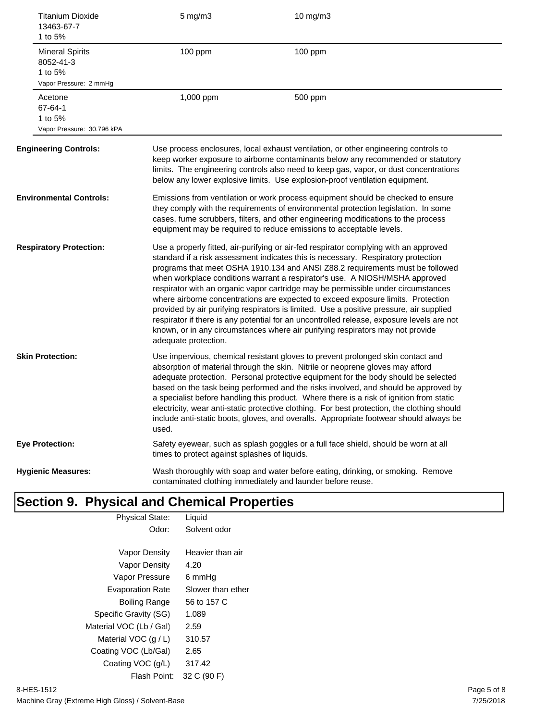| 13463-67-7<br>1 to 5%                          | <b>Titanium Dioxide</b>    | $5$ mg/m $3$                                  | 10 mg/m3                                                                                                                                                                                                                                                                                                                                                                                                                                                                                                                                                                                                                                                                                                                                                                                      |
|------------------------------------------------|----------------------------|-----------------------------------------------|-----------------------------------------------------------------------------------------------------------------------------------------------------------------------------------------------------------------------------------------------------------------------------------------------------------------------------------------------------------------------------------------------------------------------------------------------------------------------------------------------------------------------------------------------------------------------------------------------------------------------------------------------------------------------------------------------------------------------------------------------------------------------------------------------|
| <b>Mineral Spirits</b><br>8052-41-3<br>1 to 5% | Vapor Pressure: 2 mmHg     | 100 ppm                                       | 100 ppm                                                                                                                                                                                                                                                                                                                                                                                                                                                                                                                                                                                                                                                                                                                                                                                       |
| Acetone<br>67-64-1<br>1 to 5%                  | Vapor Pressure: 30.796 kPA | 1,000 ppm                                     | 500 ppm                                                                                                                                                                                                                                                                                                                                                                                                                                                                                                                                                                                                                                                                                                                                                                                       |
| <b>Engineering Controls:</b>                   |                            |                                               | Use process enclosures, local exhaust ventilation, or other engineering controls to<br>keep worker exposure to airborne contaminants below any recommended or statutory<br>limits. The engineering controls also need to keep gas, vapor, or dust concentrations<br>below any lower explosive limits. Use explosion-proof ventilation equipment.                                                                                                                                                                                                                                                                                                                                                                                                                                              |
| <b>Environmental Controls:</b>                 |                            |                                               | Emissions from ventilation or work process equipment should be checked to ensure<br>they comply with the requirements of environmental protection legislation. In some<br>cases, fume scrubbers, filters, and other engineering modifications to the process<br>equipment may be required to reduce emissions to acceptable levels.                                                                                                                                                                                                                                                                                                                                                                                                                                                           |
| <b>Respiratory Protection:</b>                 |                            | adequate protection.                          | Use a properly fitted, air-purifying or air-fed respirator complying with an approved<br>standard if a risk assessment indicates this is necessary. Respiratory protection<br>programs that meet OSHA 1910.134 and ANSI Z88.2 requirements must be followed<br>when workplace conditions warrant a respirator's use. A NIOSH/MSHA approved<br>respirator with an organic vapor cartridge may be permissible under circumstances<br>where airborne concentrations are expected to exceed exposure limits. Protection<br>provided by air purifying respirators is limited. Use a positive pressure, air supplied<br>respirator if there is any potential for an uncontrolled release, exposure levels are not<br>known, or in any circumstances where air purifying respirators may not provide |
| <b>Skin Protection:</b>                        |                            | used.                                         | Use impervious, chemical resistant gloves to prevent prolonged skin contact and<br>absorption of material through the skin. Nitrile or neoprene gloves may afford<br>adequate protection. Personal protective equipment for the body should be selected<br>based on the task being performed and the risks involved, and should be approved by<br>a specialist before handling this product. Where there is a risk of ignition from static<br>electricity, wear anti-static protective clothing. For best protection, the clothing should<br>include anti-static boots, gloves, and overalls. Appropriate footwear should always be                                                                                                                                                           |
| <b>Eye Protection:</b>                         |                            | times to protect against splashes of liquids. | Safety eyewear, such as splash goggles or a full face shield, should be worn at all                                                                                                                                                                                                                                                                                                                                                                                                                                                                                                                                                                                                                                                                                                           |
| <b>Hygienic Measures:</b>                      |                            |                                               | Wash thoroughly with soap and water before eating, drinking, or smoking. Remove<br>contaminated clothing immediately and launder before reuse.                                                                                                                                                                                                                                                                                                                                                                                                                                                                                                                                                                                                                                                |

## **Section 9. Physical and Chemical Properties**

| <b>Physical State:</b>  | Liquid            |
|-------------------------|-------------------|
| Odor:                   | Solvent odor      |
|                         |                   |
| Vapor Density           | Heavier than air  |
| Vapor Density           | 4.20              |
| Vapor Pressure          | 6 mmHq            |
| <b>Evaporation Rate</b> | Slower than ether |
| Boiling Range           | 56 to 157 C       |
| Specific Gravity (SG)   | 1.089             |
| Material VOC (Lb / Gal) | 2.59              |
| Material VOC $(q/L)$    | 310.57            |
| Coating VOC (Lb/Gal)    | 2.65              |
| Coating VOC (g/L)       | 317.42            |
| Flash Point:            | 32 C (90 F)       |
|                         |                   |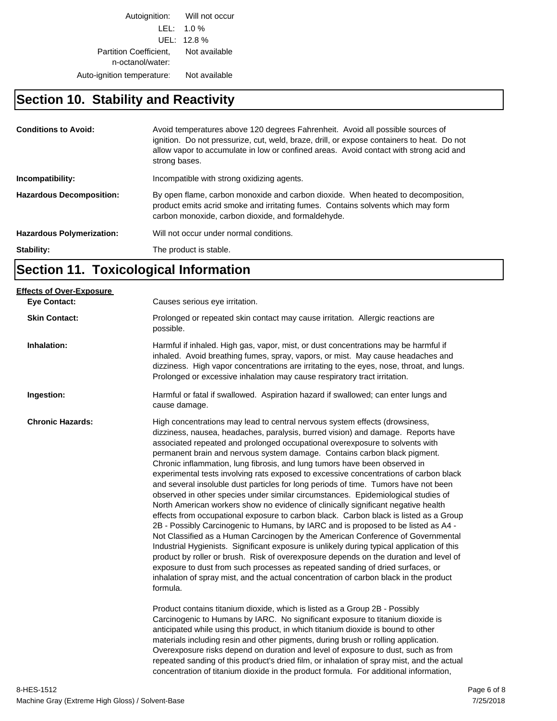Autoignition: Will not occur LEL: 1.0 % UEL: 12.8 % Partition Coefficient, Not available n-octanol/water: Auto-ignition temperature: Not available

## **Section 10. Stability and Reactivity**

| <b>Conditions to Avoid:</b>      | Avoid temperatures above 120 degrees Fahrenheit. Avoid all possible sources of<br>ignition. Do not pressurize, cut, weld, braze, drill, or expose containers to heat. Do not<br>allow vapor to accumulate in low or confined areas. Avoid contact with strong acid and<br>strong bases. |
|----------------------------------|-----------------------------------------------------------------------------------------------------------------------------------------------------------------------------------------------------------------------------------------------------------------------------------------|
| Incompatibility:                 | Incompatible with strong oxidizing agents.                                                                                                                                                                                                                                              |
| <b>Hazardous Decomposition:</b>  | By open flame, carbon monoxide and carbon dioxide. When heated to decomposition,<br>product emits acrid smoke and irritating fumes. Contains solvents which may form<br>carbon monoxide, carbon dioxide, and formaldehyde.                                                              |
| <b>Hazardous Polymerization:</b> | Will not occur under normal conditions.                                                                                                                                                                                                                                                 |
| Stability:                       | The product is stable.                                                                                                                                                                                                                                                                  |

## **Section 11. Toxicological Information**

| Causes serious eye irritation.                                                                                                                                                                                                                                                                                                                                                                                                                                                                                                                                                                                                                                                                                                                                                                                                                                                                                                                                                                                                                                                                                                                                                                                                                                                                                                                                                                                                                                                                      |
|-----------------------------------------------------------------------------------------------------------------------------------------------------------------------------------------------------------------------------------------------------------------------------------------------------------------------------------------------------------------------------------------------------------------------------------------------------------------------------------------------------------------------------------------------------------------------------------------------------------------------------------------------------------------------------------------------------------------------------------------------------------------------------------------------------------------------------------------------------------------------------------------------------------------------------------------------------------------------------------------------------------------------------------------------------------------------------------------------------------------------------------------------------------------------------------------------------------------------------------------------------------------------------------------------------------------------------------------------------------------------------------------------------------------------------------------------------------------------------------------------------|
| Prolonged or repeated skin contact may cause irritation. Allergic reactions are<br>possible.                                                                                                                                                                                                                                                                                                                                                                                                                                                                                                                                                                                                                                                                                                                                                                                                                                                                                                                                                                                                                                                                                                                                                                                                                                                                                                                                                                                                        |
| Harmful if inhaled. High gas, vapor, mist, or dust concentrations may be harmful if<br>inhaled. Avoid breathing fumes, spray, vapors, or mist. May cause headaches and<br>dizziness. High vapor concentrations are irritating to the eyes, nose, throat, and lungs.<br>Prolonged or excessive inhalation may cause respiratory tract irritation.                                                                                                                                                                                                                                                                                                                                                                                                                                                                                                                                                                                                                                                                                                                                                                                                                                                                                                                                                                                                                                                                                                                                                    |
| Harmful or fatal if swallowed. Aspiration hazard if swallowed; can enter lungs and<br>cause damage.                                                                                                                                                                                                                                                                                                                                                                                                                                                                                                                                                                                                                                                                                                                                                                                                                                                                                                                                                                                                                                                                                                                                                                                                                                                                                                                                                                                                 |
| High concentrations may lead to central nervous system effects (drowsiness,<br>dizziness, nausea, headaches, paralysis, burred vision) and damage. Reports have<br>associated repeated and prolonged occupational overexposure to solvents with<br>permanent brain and nervous system damage. Contains carbon black pigment.<br>Chronic inflammation, lung fibrosis, and lung tumors have been observed in<br>experimental tests involving rats exposed to excessive concentrations of carbon black<br>and several insoluble dust particles for long periods of time. Tumors have not been<br>observed in other species under similar circumstances. Epidemiological studies of<br>North American workers show no evidence of clinically significant negative health<br>effects from occupational exposure to carbon black. Carbon black is listed as a Group<br>2B - Possibly Carcinogenic to Humans, by IARC and is proposed to be listed as A4 -<br>Not Classified as a Human Carcinogen by the American Conference of Governmental<br>Industrial Hygienists. Significant exposure is unlikely during typical application of this<br>product by roller or brush. Risk of overexposure depends on the duration and level of<br>exposure to dust from such processes as repeated sanding of dried surfaces, or<br>inhalation of spray mist, and the actual concentration of carbon black in the product<br>formula.<br>Product contains titanium dioxide, which is listed as a Group 2B - Possibly |
| Carcinogenic to Humans by IARC. No significant exposure to titanium dioxide is<br>anticipated while using this product, in which titanium dioxide is bound to other<br>materials including resin and other pigments, during brush or rolling application.<br>Overexposure risks depend on duration and level of exposure to dust, such as from<br>repeated sanding of this product's dried film, or inhalation of spray mist, and the actual<br>concentration of titanium dioxide in the product formula. For additional information,                                                                                                                                                                                                                                                                                                                                                                                                                                                                                                                                                                                                                                                                                                                                                                                                                                                                                                                                                               |
|                                                                                                                                                                                                                                                                                                                                                                                                                                                                                                                                                                                                                                                                                                                                                                                                                                                                                                                                                                                                                                                                                                                                                                                                                                                                                                                                                                                                                                                                                                     |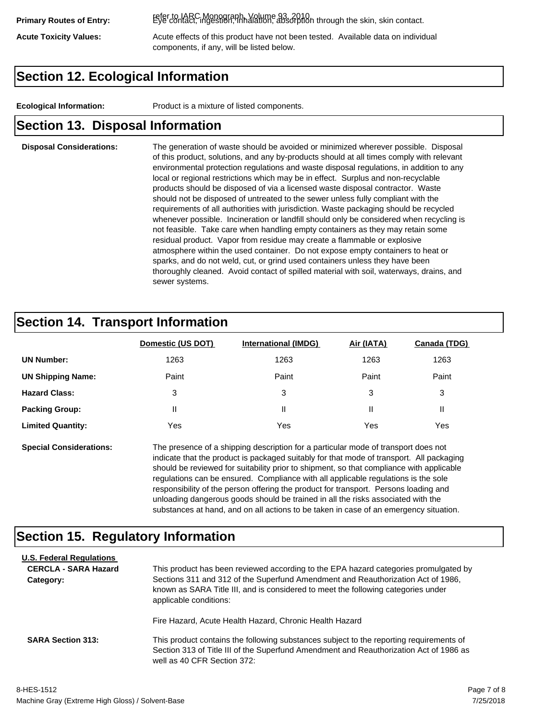refer to IARC Monograph, Volume 93, 2010. **Primary Routes of Entry:** Eye contact, ingestion, inhalation, absorption through the skin, skin contact.

Acute Toxicity Values: **Acute effects of this product have not been tested.** Available data on individual components, if any, will be listed below.

### **Section 12. Ecological Information**

**Ecological Information:** Product is a mixture of listed components.

#### **Section 13. Disposal Information**

#### **Disposal Considerations:** The generation of waste should be avoided or minimized wherever possible. Disposal of this product, solutions, and any by-products should at all times comply with relevant environmental protection regulations and waste disposal regulations, in addition to any local or regional restrictions which may be in effect. Surplus and non-recyclable products should be disposed of via a licensed waste disposal contractor. Waste should not be disposed of untreated to the sewer unless fully compliant with the requirements of all authorities with jurisdiction. Waste packaging should be recycled whenever possible. Incineration or landfill should only be considered when recycling is not feasible. Take care when handling empty containers as they may retain some residual product. Vapor from residue may create a flammable or explosive atmosphere within the used container. Do not expose empty containers to heat or sparks, and do not weld, cut, or grind used containers unless they have been thoroughly cleaned. Avoid contact of spilled material with soil, waterways, drains, and sewer systems.

#### **Section 14. Transport Information**

|                          | Domestic (US DOT) | <b>International (IMDG)</b> | Air (IATA) | <b>Canada (TDG)</b> |
|--------------------------|-------------------|-----------------------------|------------|---------------------|
| <b>UN Number:</b>        | 1263              | 1263                        | 1263       | 1263                |
| <b>UN Shipping Name:</b> | Paint             | Paint                       | Paint      | Paint               |
| <b>Hazard Class:</b>     | 3                 | 3                           | 3          | 3                   |
| <b>Packing Group:</b>    | Ш                 | Ш                           |            |                     |
| <b>Limited Quantity:</b> | Yes               | Yes                         | Yes        | Yes                 |

**Special Considerations:** The presence of a shipping description for a particular mode of transport does not indicate that the product is packaged suitably for that mode of transport. All packaging should be reviewed for suitability prior to shipment, so that compliance with applicable regulations can be ensured. Compliance with all applicable regulations is the sole responsibility of the person offering the product for transport. Persons loading and unloading dangerous goods should be trained in all the risks associated with the substances at hand, and on all actions to be taken in case of an emergency situation.

#### **Section 15. Regulatory Information**

| <b>U.S. Federal Regulations</b> |                                                                                                                                                                                                                                                            |
|---------------------------------|------------------------------------------------------------------------------------------------------------------------------------------------------------------------------------------------------------------------------------------------------------|
| <b>CERCLA - SARA Hazard</b>     | This product has been reviewed according to the EPA hazard categories promulgated by                                                                                                                                                                       |
| Category:                       | Sections 311 and 312 of the Superfund Amendment and Reauthorization Act of 1986,<br>known as SARA Title III, and is considered to meet the following categories under<br>applicable conditions:<br>Fire Hazard, Acute Health Hazard, Chronic Health Hazard |
| <b>SARA Section 313:</b>        | This product contains the following substances subject to the reporting requirements of<br>Section 313 of Title III of the Superfund Amendment and Reauthorization Act of 1986 as<br>well as 40 CFR Section 372:                                           |